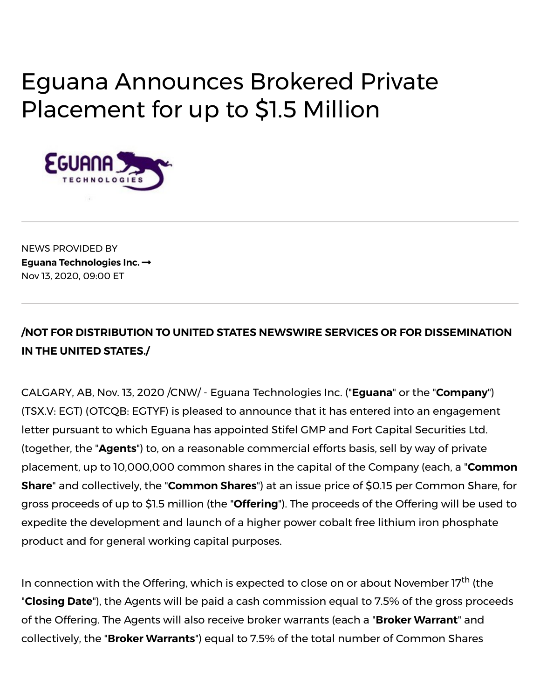# Eguana Announces Brokered Private Placement for up to \$1.5 Million



NEWS PROVIDED BY **Eguana [Technologies](https://www.newswire.ca/news/eguana-technologies-inc.) Inc.** Nov 13, 2020, 09:00 ET

## **/NOT FOR DISTRIBUTION TO UNITED STATES NEWSWIRE SERVICES OR FOR DISSEMINATION IN THE UNITED STATES./**

CALGARY, AB, Nov. 13, 2020 /CNW/ - Eguana Technologies Inc. ("**Eguana**" or the "**Company**") (TSX.V: EGT) (OTCQB: EGTYF) is pleased to announce that it has entered into an engagement letter pursuant to which Eguana has appointed Stifel GMP and Fort Capital Securities Ltd. (together, the "**Agents**") to, on a reasonable commercial efforts basis, sell by way of private placement, up to 10,000,000 common shares in the capital of the Company (each, a "**Common Share**" and collectively, the "**Common Shares**") at an issue price of \$0.15 per Common Share, for gross proceeds of up to \$1.5 million (the "**Offering**"). The proceeds of the Offering will be used to expedite the development and launch of a higher power cobalt free lithium iron phosphate product and for general working capital purposes.

In connection with the Offering, which is expected to close on or about November 17<sup>th</sup> (the "**Closing Date**"), the Agents will be paid a cash commission equal to 7.5% of the gross proceeds of the Offering. The Agents will also receive broker warrants (each a "**Broker Warrant**" and collectively, the "**Broker Warrants**") equal to 7.5% of the total number of Common Shares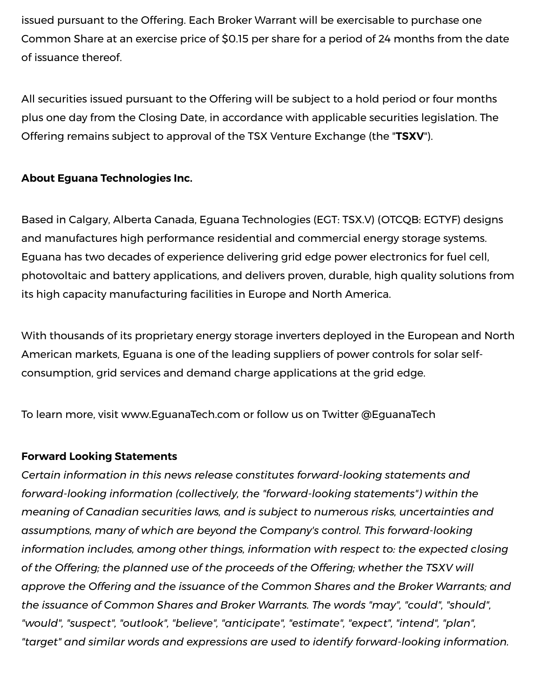issued pursuant to the Offering. Each Broker Warrant will be exercisable to purchase one Common Share at an exercise price of \$0.15 per share for a period of 24 months from the date of issuance thereof.

All securities issued pursuant to the Offering will be subject to a hold period or four months plus one day from the Closing Date, in accordance with applicable securities legislation. The Offering remains subject to approval of the TSX Venture Exchange (the "**TSXV**").

### **About Eguana Technologies Inc.**

Based in Calgary, Alberta Canada, Eguana Technologies (EGT: TSX.V) (OTCQB: EGTYF) designs and manufactures high performance residential and commercial energy storage systems. Eguana has two decades of experience delivering grid edge power electronics for fuel cell, photovoltaic and battery applications, and delivers proven, durable, high quality solutions from its high capacity manufacturing facilities in Europe and North America.

With thousands of its proprietary energy storage inverters deployed in the European and North American markets, Eguana is one of the leading suppliers of power controls for solar selfconsumption, grid services and demand charge applications at the grid edge.

To learn more, visit [www.EguanaTech.com](https://c212.net/c/link/?t=0&l=en&o=2981273-1&h=2842239624&u=http%3A%2F%2Fwww.eguanatech.com%2F&a=www.EguanaTech.com) or follow us on Twitter [@EguanaTech](https://c212.net/c/link/?t=0&l=en&o=2981273-1&h=16993664&u=https%3A%2F%2Ftwitter.com%2FEguanaTech&a=%40EguanaTech)

#### **Forward Looking Statements**

*Certain information in this news release constitutes forward-looking statements and forward-looking information (collectively, the "forward-looking statements") within the meaning of Canadian securities laws, and is subject to numerous risks, uncertainties and assumptions, many of which are beyond the Company's control. This forward-looking information includes, among other things, information with respect to: the expected closing of the Offering; the planned use of the proceeds of the Offering; whether the TSXV will approve the Offering and the issuance of the Common Shares and the Broker Warrants; and the issuance of Common Shares and Broker Warrants. The words "may", "could", "should", "would", "suspect", "outlook", "believe", "anticipate", "estimate", "expect", "intend", "plan", "target" and similar words and expressions are used to identify forward-looking information.*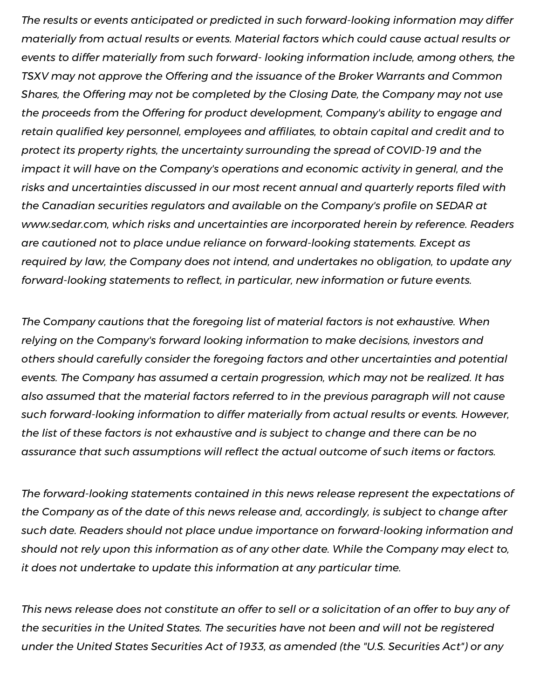*The results or events anticipated or predicted in such forward-looking information may differ materially from actual results or events. Material factors which could cause actual results or events to differ materially from such forward- looking information include, among others, the TSXV may not approve the Offering and the issuance of the Broker Warrants and Common Shares, the Offering may not be completed by the Closing Date, the Company may not use the proceeds from the Offering for product development, Company's ability to engage and retain qualied key personnel, employees and afliates, to obtain capital and credit and to protect its property rights, the uncertainty surrounding the spread of COVID-19 and the impact it will have on the Company's operations and economic activity in general, and the risks and uncertainties discussed in our most recent annual and quarterly reports led with the Canadian securities regulators and available on the Company's profile on SEDAR at [www.sedar.com,](http://www.sedar.com/) which risks and uncertainties are incorporated herein by reference. Readers are cautioned not to place undue reliance on forward-looking statements. Except as required by law, the Company does not intend, and undertakes no obligation, to update any forward-looking statements to reflect, in particular, new information or future events.* 

*The Company cautions that the foregoing list of material factors is not exhaustive. When relying on the Company's forward looking information to make decisions, investors and others should carefully consider the foregoing factors and other uncertainties and potential events. The Company has assumed a certain progression, which may not be realized. It has also assumed that the material factors referred to in the previous paragraph will not cause such forward-looking information to differ materially from actual results or events. However, the list of these factors is not exhaustive and is subject to change and there can be no assurance that such assumptions will* reflect *the actual outcome of such items or factors.* 

*The forward-looking statements contained in this news release represent the expectations of the Company as of the date of this news release and, accordingly, is subject to change after such date. Readers should not place undue importance on forward-looking information and should not rely upon this information as of any other date. While the Company may elect to, it does not undertake to update this information at any particular time.*

This news release does not constitute an offer to sell or a solicitation of an offer to buy any of *the securities in the United States. The securities have not been and will not be registered under the United States Securities Act of 1933, as amended (the "U.S. Securities Act") or any*